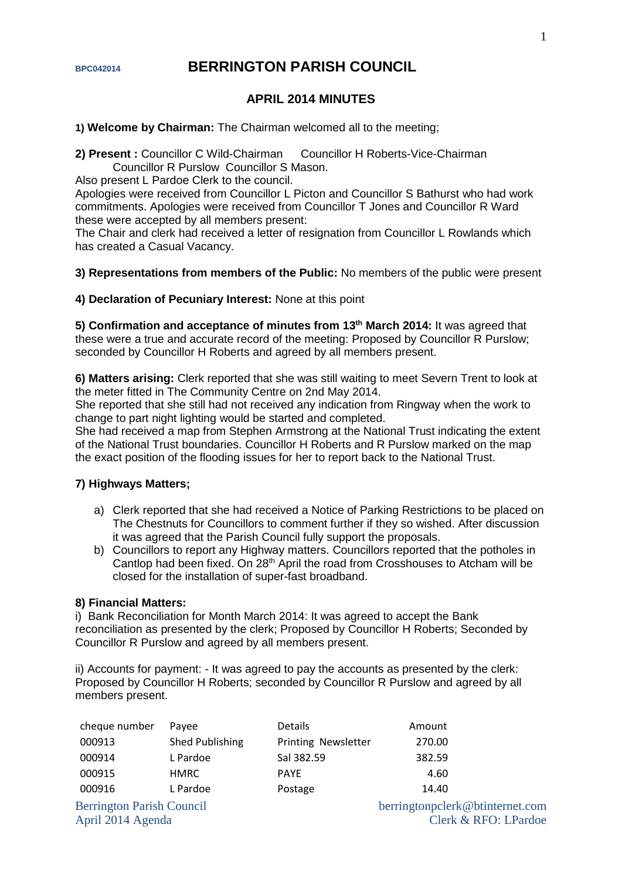# **BPC042014 BERRINGTON PARISH COUNCIL**

# **APRIL 2014 MINUTES**

**1) Welcome by Chairman:** The Chairman welcomed all to the meeting;

**2) Present :** Councillor C Wild-Chairman Councillor H Roberts-Vice-Chairman Councillor R Purslow Councillor S Mason.

Also present L Pardoe Clerk to the council.

Apologies were received from Councillor L Picton and Councillor S Bathurst who had work commitments. Apologies were received from Councillor T Jones and Councillor R Ward these were accepted by all members present:

The Chair and clerk had received a letter of resignation from Councillor L Rowlands which has created a Casual Vacancy.

### **3) Representations from members of the Public:** No members of the public were present

#### **4) Declaration of Pecuniary Interest:** None at this point

5) Confirmation and acceptance of minutes from 13<sup>th</sup> March 2014: It was agreed that these were a true and accurate record of the meeting: Proposed by Councillor R Purslow; seconded by Councillor H Roberts and agreed by all members present.

**6) Matters arising:** Clerk reported that she was still waiting to meet Severn Trent to look at the meter fitted in The Community Centre on 2nd May 2014.

She reported that she still had not received any indication from Ringway when the work to change to part night lighting would be started and completed.

She had received a map from Stephen Armstrong at the National Trust indicating the extent of the National Trust boundaries. Councillor H Roberts and R Purslow marked on the map the exact position of the flooding issues for her to report back to the National Trust.

### **7) Highways Matters;**

- a) Clerk reported that she had received a Notice of Parking Restrictions to be placed on The Chestnuts for Councillors to comment further if they so wished. After discussion it was agreed that the Parish Council fully support the proposals.
- b) Councillors to report any Highway matters. Councillors reported that the potholes in Cantlop had been fixed. On 28<sup>th</sup> April the road from Crosshouses to Atcham will be closed for the installation of super-fast broadband.

#### **8) Financial Matters:**

i) Bank Reconciliation for Month March 2014: It was agreed to accept the Bank reconciliation as presented by the clerk; Proposed by Councillor H Roberts; Seconded by Councillor R Purslow and agreed by all members present.

ii) Accounts for payment: - It was agreed to pay the accounts as presented by the clerk: Proposed by Councillor H Roberts; seconded by Councillor R Purslow and agreed by all members present.

| cheque number                    | Payee           | <b>Details</b>      | Amount                          |
|----------------------------------|-----------------|---------------------|---------------------------------|
| 000913                           | Shed Publishing | Printing Newsletter | 270.00                          |
| 000914                           | L Pardoe        | Sal 382.59          | 382.59                          |
| 000915                           | <b>HMRC</b>     | <b>PAYE</b>         | 4.60                            |
| 000916                           | L Pardoe        | Postage             | 14.40                           |
| <b>Berrington Parish Council</b> |                 |                     | berringtonpclerk@btinternet.com |
| April 2014 Agenda                |                 |                     | Clerk & RFO: LPardoe            |